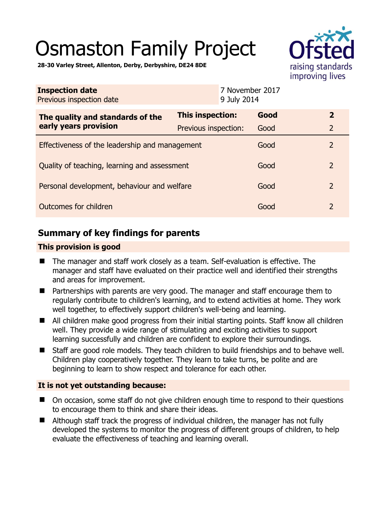# Osmaston Family Project



**28-30 Varley Street, Allenton, Derby, Derbyshire, DE24 8DE** 

| <b>Inspection date</b><br>Previous inspection date        | 9 July 2014             | 7 November 2017 |                |
|-----------------------------------------------------------|-------------------------|-----------------|----------------|
| The quality and standards of the<br>early years provision | <b>This inspection:</b> | Good            | $\overline{2}$ |
|                                                           | Previous inspection:    | Good            | $\overline{2}$ |
| Effectiveness of the leadership and management            |                         | Good            | $\overline{2}$ |
| Quality of teaching, learning and assessment              |                         | Good            | $\overline{2}$ |
| Personal development, behaviour and welfare               |                         | Good            | $\overline{2}$ |
| Outcomes for children                                     |                         | Good            | $\overline{2}$ |

# **Summary of key findings for parents**

## **This provision is good**

- The manager and staff work closely as a team. Self-evaluation is effective. The manager and staff have evaluated on their practice well and identified their strengths and areas for improvement.
- Partnerships with parents are very good. The manager and staff encourage them to regularly contribute to children's learning, and to extend activities at home. They work well together, to effectively support children's well-being and learning.
- All children make good progress from their initial starting points. Staff know all children well. They provide a wide range of stimulating and exciting activities to support learning successfully and children are confident to explore their surroundings.
- Staff are good role models. They teach children to build friendships and to behave well. Children play cooperatively together. They learn to take turns, be polite and are beginning to learn to show respect and tolerance for each other.

## **It is not yet outstanding because:**

- On occasion, some staff do not give children enough time to respond to their questions to encourage them to think and share their ideas.
- Although staff track the progress of individual children, the manager has not fully developed the systems to monitor the progress of different groups of children, to help evaluate the effectiveness of teaching and learning overall.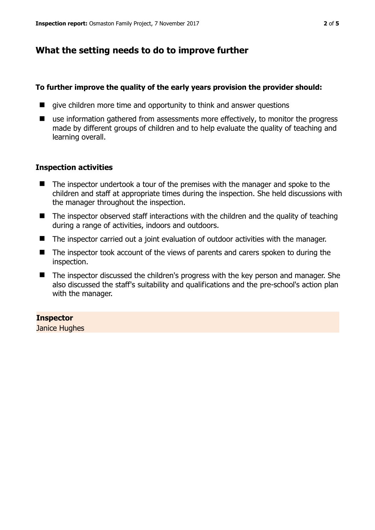# **What the setting needs to do to improve further**

#### **To further improve the quality of the early years provision the provider should:**

- $\blacksquare$  give children more time and opportunity to think and answer questions
- use information gathered from assessments more effectively, to monitor the progress made by different groups of children and to help evaluate the quality of teaching and learning overall.

## **Inspection activities**

- The inspector undertook a tour of the premises with the manager and spoke to the children and staff at appropriate times during the inspection. She held discussions with the manager throughout the inspection.
- $\blacksquare$  The inspector observed staff interactions with the children and the quality of teaching during a range of activities, indoors and outdoors.
- The inspector carried out a joint evaluation of outdoor activities with the manager.
- The inspector took account of the views of parents and carers spoken to during the inspection.
- The inspector discussed the children's progress with the key person and manager. She also discussed the staff's suitability and qualifications and the pre-school's action plan with the manager.

## **Inspector**

Janice Hughes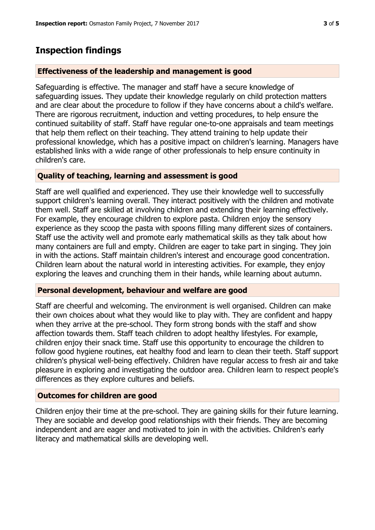## **Inspection findings**

#### **Effectiveness of the leadership and management is good**

Safeguarding is effective. The manager and staff have a secure knowledge of safeguarding issues. They update their knowledge regularly on child protection matters and are clear about the procedure to follow if they have concerns about a child's welfare. There are rigorous recruitment, induction and vetting procedures, to help ensure the continued suitability of staff. Staff have regular one-to-one appraisals and team meetings that help them reflect on their teaching. They attend training to help update their professional knowledge, which has a positive impact on children's learning. Managers have established links with a wide range of other professionals to help ensure continuity in children's care.

#### **Quality of teaching, learning and assessment is good**

Staff are well qualified and experienced. They use their knowledge well to successfully support children's learning overall. They interact positively with the children and motivate them well. Staff are skilled at involving children and extending their learning effectively. For example, they encourage children to explore pasta. Children enjoy the sensory experience as they scoop the pasta with spoons filling many different sizes of containers. Staff use the activity well and promote early mathematical skills as they talk about how many containers are full and empty. Children are eager to take part in singing. They join in with the actions. Staff maintain children's interest and encourage good concentration. Children learn about the natural world in interesting activities. For example, they enjoy exploring the leaves and crunching them in their hands, while learning about autumn.

#### **Personal development, behaviour and welfare are good**

Staff are cheerful and welcoming. The environment is well organised. Children can make their own choices about what they would like to play with. They are confident and happy when they arrive at the pre-school. They form strong bonds with the staff and show affection towards them. Staff teach children to adopt healthy lifestyles. For example, children enjoy their snack time. Staff use this opportunity to encourage the children to follow good hygiene routines, eat healthy food and learn to clean their teeth. Staff support children's physical well-being effectively. Children have regular access to fresh air and take pleasure in exploring and investigating the outdoor area. Children learn to respect people's differences as they explore cultures and beliefs.

#### **Outcomes for children are good**

Children enjoy their time at the pre-school. They are gaining skills for their future learning. They are sociable and develop good relationships with their friends. They are becoming independent and are eager and motivated to join in with the activities. Children's early literacy and mathematical skills are developing well.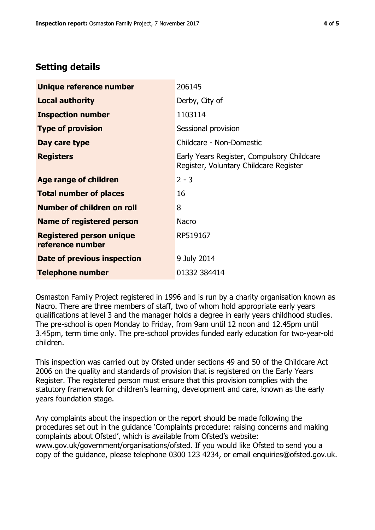# **Setting details**

| Unique reference number                             | 206145                                                                               |  |
|-----------------------------------------------------|--------------------------------------------------------------------------------------|--|
| <b>Local authority</b>                              | Derby, City of                                                                       |  |
| <b>Inspection number</b>                            | 1103114                                                                              |  |
| <b>Type of provision</b>                            | Sessional provision                                                                  |  |
| Day care type                                       | Childcare - Non-Domestic                                                             |  |
| <b>Registers</b>                                    | Early Years Register, Compulsory Childcare<br>Register, Voluntary Childcare Register |  |
| Age range of children                               | $2 - 3$                                                                              |  |
| <b>Total number of places</b>                       | 16                                                                                   |  |
| Number of children on roll                          | 8                                                                                    |  |
| Name of registered person                           | <b>Nacro</b>                                                                         |  |
| <b>Registered person unique</b><br>reference number | RP519167                                                                             |  |
| Date of previous inspection                         | 9 July 2014                                                                          |  |
| <b>Telephone number</b>                             | 01332 384414                                                                         |  |

Osmaston Family Project registered in 1996 and is run by a charity organisation known as Nacro. There are three members of staff, two of whom hold appropriate early years qualifications at level 3 and the manager holds a degree in early years childhood studies. The pre-school is open Monday to Friday, from 9am until 12 noon and 12.45pm until 3.45pm, term time only. The pre-school provides funded early education for two-year-old children.

This inspection was carried out by Ofsted under sections 49 and 50 of the Childcare Act 2006 on the quality and standards of provision that is registered on the Early Years Register. The registered person must ensure that this provision complies with the statutory framework for children's learning, development and care, known as the early years foundation stage.

Any complaints about the inspection or the report should be made following the procedures set out in the guidance 'Complaints procedure: raising concerns and making complaints about Ofsted', which is available from Ofsted's website: www.gov.uk/government/organisations/ofsted. If you would like Ofsted to send you a copy of the guidance, please telephone 0300 123 4234, or email enquiries@ofsted.gov.uk.